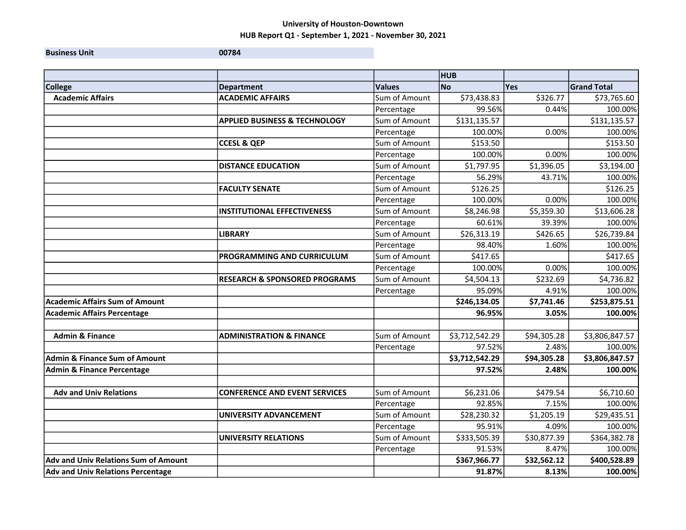**Business Unit 00784** 

|                                             |                                          |               | <b>HUB</b>     |             |                    |
|---------------------------------------------|------------------------------------------|---------------|----------------|-------------|--------------------|
| <b>College</b>                              | <b>Department</b>                        | <b>Values</b> | <b>No</b>      | <b>Yes</b>  | <b>Grand Total</b> |
| <b>Academic Affairs</b>                     | <b>ACADEMIC AFFAIRS</b>                  | Sum of Amount | \$73,438.83    | \$326.77    | \$73,765.60        |
|                                             |                                          | Percentage    | 99.56%         | 0.44%       | 100.00%            |
|                                             | <b>APPLIED BUSINESS &amp; TECHNOLOGY</b> | Sum of Amount | \$131,135.57   |             | \$131,135.57       |
|                                             |                                          | Percentage    | 100.00%        | 0.00%       | 100.00%            |
|                                             | <b>CCESL &amp; QEP</b>                   | Sum of Amount | \$153.50       |             | \$153.50           |
|                                             |                                          | Percentage    | 100.00%        | 0.00%       | 100.00%            |
|                                             | <b>DISTANCE EDUCATION</b>                | Sum of Amount | \$1,797.95     | \$1,396.05  | \$3,194.00         |
|                                             |                                          | Percentage    | 56.29%         | 43.71%      | 100.00%            |
|                                             | <b>FACULTY SENATE</b>                    | Sum of Amount | \$126.25       |             | \$126.25           |
|                                             |                                          | Percentage    | 100.00%        | 0.00%       | 100.00%            |
|                                             | <b>INSTITUTIONAL EFFECTIVENESS</b>       | Sum of Amount | \$8,246.98     | \$5,359.30  | \$13,606.28        |
|                                             |                                          | Percentage    | 60.61%         | 39.39%      | 100.00%            |
|                                             | <b>LIBRARY</b>                           | Sum of Amount | \$26,313.19    | \$426.65    | \$26,739.84        |
|                                             |                                          | Percentage    | 98.40%         | 1.60%       | 100.00%            |
|                                             | PROGRAMMING AND CURRICULUM               | Sum of Amount | \$417.65       |             | \$417.65           |
|                                             |                                          | Percentage    | 100.00%        | 0.00%       | 100.00%            |
|                                             | <b>RESEARCH &amp; SPONSORED PROGRAMS</b> | Sum of Amount | \$4,504.13     | \$232.69    | \$4,736.82         |
|                                             |                                          | Percentage    | 95.09%         | 4.91%       | 100.00%            |
| <b>Academic Affairs Sum of Amount</b>       |                                          |               | \$246,134.05   | \$7,741.46  | \$253,875.51       |
| <b>Academic Affairs Percentage</b>          |                                          |               | 96.95%         | 3.05%       | 100.00%            |
|                                             |                                          |               |                |             |                    |
| <b>Admin &amp; Finance</b>                  | <b>ADMINISTRATION &amp; FINANCE</b>      | Sum of Amount | \$3,712,542.29 | \$94,305.28 | \$3,806,847.57     |
|                                             |                                          | Percentage    | 97.52%         | 2.48%       | 100.00%            |
| <b>Admin &amp; Finance Sum of Amount</b>    |                                          |               | \$3,712,542.29 | \$94,305.28 | \$3,806,847.57     |
| <b>Admin &amp; Finance Percentage</b>       |                                          |               | 97.52%         | 2.48%       | 100.00%            |
|                                             |                                          |               |                |             |                    |
| <b>Adv and Univ Relations</b>               | <b>CONFERENCE AND EVENT SERVICES</b>     | Sum of Amount | \$6,231.06     | \$479.54    | \$6,710.60         |
|                                             |                                          | Percentage    | 92.85%         | 7.15%       | 100.00%            |
|                                             | <b>UNIVERSITY ADVANCEMENT</b>            | Sum of Amount | \$28,230.32    | \$1,205.19  | \$29,435.51        |
|                                             |                                          | Percentage    | 95.91%         | 4.09%       | 100.00%            |
|                                             | <b>UNIVERSITY RELATIONS</b>              | Sum of Amount | \$333,505.39   | \$30,877.39 | \$364,382.78       |
|                                             |                                          | Percentage    | 91.53%         | 8.47%       | 100.00%            |
| <b>Adv and Univ Relations Sum of Amount</b> |                                          |               | \$367,966.77   | \$32,562.12 | \$400,528.89       |
| Adv and Univ Relations Percentage           |                                          |               | 91.87%         | 8.13%       | 100.00%            |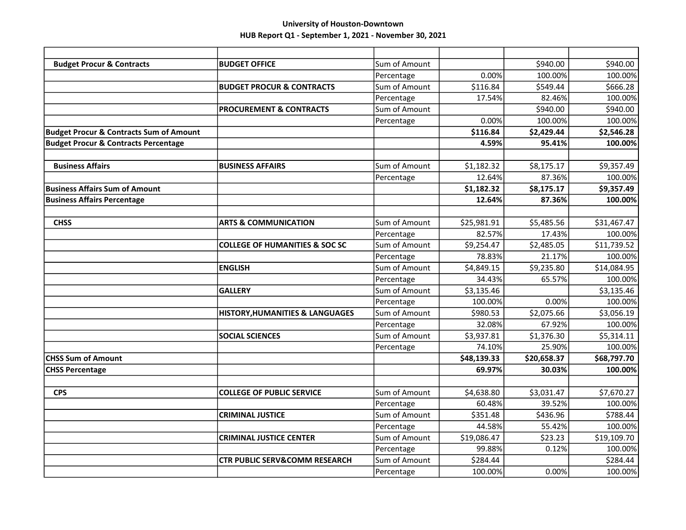| <b>Budget Procur &amp; Contracts</b>               | <b>BUDGET OFFICE</b>                       | Sum of Amount |             | \$940.00    | \$940.00    |
|----------------------------------------------------|--------------------------------------------|---------------|-------------|-------------|-------------|
|                                                    |                                            | Percentage    | 0.00%       | 100.00%     | 100.00%     |
|                                                    | <b>BUDGET PROCUR &amp; CONTRACTS</b>       | Sum of Amount | \$116.84    | \$549.44    | \$666.28    |
|                                                    |                                            | Percentage    | 17.54%      | 82.46%      | 100.00%     |
|                                                    | <b>PROCUREMENT &amp; CONTRACTS</b>         | Sum of Amount |             | \$940.00    | \$940.00    |
|                                                    |                                            | Percentage    | 0.00%       | 100.00%     | 100.00%     |
| <b>Budget Procur &amp; Contracts Sum of Amount</b> |                                            |               | \$116.84    | \$2,429.44  | \$2,546.28  |
| <b>Budget Procur &amp; Contracts Percentage</b>    |                                            |               | 4.59%       | 95.41%      | 100.00%     |
|                                                    |                                            |               |             |             |             |
| <b>Business Affairs</b>                            | <b>BUSINESS AFFAIRS</b>                    | Sum of Amount | \$1,182.32  | \$8,175.17  | \$9,357.49  |
|                                                    |                                            | Percentage    | 12.64%      | 87.36%      | 100.00%     |
| Business Affairs Sum of Amount                     |                                            |               | \$1,182.32  | \$8,175.17  | \$9,357.49  |
| <b>Business Affairs Percentage</b>                 |                                            |               | 12.64%      | 87.36%      | 100.00%     |
|                                                    |                                            |               |             |             |             |
| <b>CHSS</b>                                        | <b>ARTS &amp; COMMUNICATION</b>            | Sum of Amount | \$25,981.91 | \$5,485.56  | \$31,467.47 |
|                                                    |                                            | Percentage    | 82.57%      | 17.43%      | 100.00%     |
|                                                    | <b>COLLEGE OF HUMANITIES &amp; SOC SC</b>  | Sum of Amount | \$9,254.47  | \$2,485.05  | \$11,739.52 |
|                                                    |                                            | Percentage    | 78.83%      | 21.17%      | 100.00%     |
|                                                    | <b>ENGLISH</b>                             | Sum of Amount | \$4,849.15  | \$9,235.80  | \$14,084.95 |
|                                                    |                                            | Percentage    | 34.43%      | 65.57%      | 100.00%     |
|                                                    | <b>GALLERY</b>                             | Sum of Amount | \$3,135.46  |             | \$3,135.46  |
|                                                    |                                            | Percentage    | 100.00%     | 0.00%       | 100.00%     |
|                                                    | <b>HISTORY, HUMANITIES &amp; LANGUAGES</b> | Sum of Amount | \$980.53    | \$2,075.66  | \$3,056.19  |
|                                                    |                                            | Percentage    | 32.08%      | 67.92%      | 100.00%     |
|                                                    | <b>SOCIAL SCIENCES</b>                     | Sum of Amount | \$3,937.81  | \$1,376.30  | \$5,314.11  |
|                                                    |                                            | Percentage    | 74.10%      | 25.90%      | 100.00%     |
| <b>CHSS Sum of Amount</b>                          |                                            |               | \$48,139.33 | \$20,658.37 | \$68,797.70 |
| <b>CHSS Percentage</b>                             |                                            |               | 69.97%      | 30.03%      | 100.00%     |
|                                                    |                                            |               |             |             |             |
| <b>CPS</b>                                         | <b>COLLEGE OF PUBLIC SERVICE</b>           | Sum of Amount | \$4,638.80  | \$3,031.47  | \$7,670.27  |
|                                                    |                                            | Percentage    | 60.48%      | 39.52%      | 100.00%     |
|                                                    | <b>CRIMINAL JUSTICE</b>                    | Sum of Amount | \$351.48    | \$436.96    | \$788.44    |
|                                                    |                                            | Percentage    | 44.58%      | 55.42%      | 100.00%     |
|                                                    | <b>CRIMINAL JUSTICE CENTER</b>             | Sum of Amount | \$19,086.47 | \$23.23     | \$19,109.70 |
|                                                    |                                            | Percentage    | 99.88%      | 0.12%       | 100.00%     |
|                                                    | <b>CTR PUBLIC SERV&amp;COMM RESEARCH</b>   | Sum of Amount | \$284.44    |             | \$284.44    |
|                                                    |                                            | Percentage    | 100.00%     | 0.00%       | 100.00%     |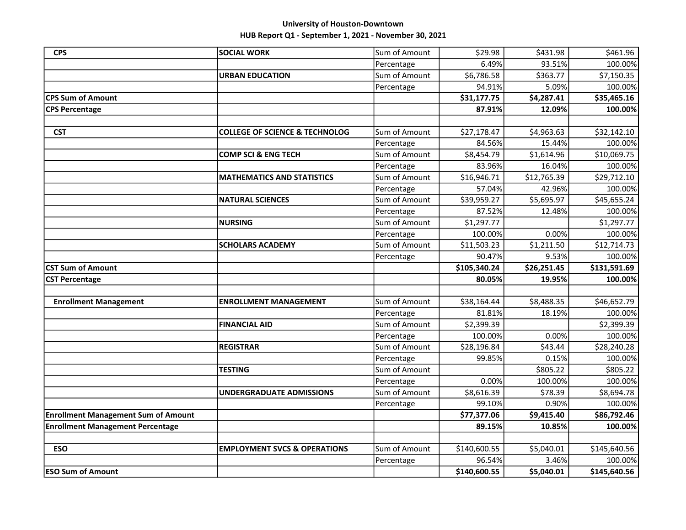| <b>CPS</b>                                 | <b>SOCIAL WORK</b>                        | Sum of Amount | \$29.98                | \$431.98            | \$461.96                |
|--------------------------------------------|-------------------------------------------|---------------|------------------------|---------------------|-------------------------|
|                                            |                                           | Percentage    | 6.49%                  | 93.51%              | 100.00%                 |
|                                            | <b>URBAN EDUCATION</b>                    | Sum of Amount | \$6,786.58             | \$363.77            | \$7,150.35              |
|                                            |                                           | Percentage    | 94.91%                 | 5.09%               | 100.00%                 |
| <b>CPS Sum of Amount</b>                   |                                           |               | \$31,177.75            | \$4,287.41          | \$35,465.16             |
| <b>CPS Percentage</b>                      |                                           |               | 87.91%                 | 12.09%              | 100.00%                 |
|                                            |                                           |               |                        |                     |                         |
| <b>CST</b>                                 | <b>COLLEGE OF SCIENCE &amp; TECHNOLOG</b> | Sum of Amount | \$27,178.47            | \$4,963.63          | \$32,142.10             |
|                                            |                                           | Percentage    | 84.56%                 | 15.44%              | 100.00%                 |
|                                            | <b>COMP SCI &amp; ENG TECH</b>            | Sum of Amount | \$8,454.79             | \$1,614.96          | \$10,069.75             |
|                                            |                                           | Percentage    | 83.96%                 | 16.04%              | 100.00%                 |
|                                            | <b>MATHEMATICS AND STATISTICS</b>         | Sum of Amount | \$16,946.71            | \$12,765.39         | \$29,712.10             |
|                                            |                                           | Percentage    | 57.04%                 | 42.96%              | 100.00%                 |
|                                            | <b>NATURAL SCIENCES</b>                   | Sum of Amount | \$39,959.27            | \$5,695.97          | \$45,655.24             |
|                                            |                                           | Percentage    | 87.52%                 | 12.48%              | 100.00%                 |
|                                            | <b>NURSING</b>                            | Sum of Amount | \$1,297.77             |                     | \$1,297.77              |
|                                            |                                           | Percentage    | 100.00%                | 0.00%               | 100.00%                 |
|                                            | <b>SCHOLARS ACADEMY</b>                   | Sum of Amount | \$11,503.23            | \$1,211.50          | \$12,714.73             |
|                                            |                                           | Percentage    | 90.47%                 | 9.53%               | 100.00%                 |
|                                            |                                           |               |                        |                     |                         |
| <b>CST Sum of Amount</b>                   |                                           |               | \$105,340.24           | \$26,251.45         | \$131,591.69            |
| <b>CST Percentage</b>                      |                                           |               | 80.05%                 | 19.95%              | 100.00%                 |
|                                            |                                           |               |                        |                     |                         |
| <b>Enrollment Management</b>               | <b>ENROLLMENT MANAGEMENT</b>              | Sum of Amount | \$38,164.44            | \$8,488.35          | \$46,652.79             |
|                                            |                                           | Percentage    | 81.81%                 | 18.19%              | 100.00%                 |
|                                            | <b>FINANCIAL AID</b>                      | Sum of Amount | \$2,399.39             |                     | \$2,399.39              |
|                                            |                                           | Percentage    | 100.00%                | 0.00%               | 100.00%                 |
|                                            | <b>REGISTRAR</b>                          | Sum of Amount | \$28,196.84            | \$43.44             | \$28,240.28             |
|                                            |                                           | Percentage    | 99.85%                 | 0.15%               | 100.00%                 |
|                                            | <b>TESTING</b>                            | Sum of Amount |                        | \$805.22            | \$805.22                |
|                                            |                                           | Percentage    | 0.00%                  | 100.00%             | 100.00%                 |
|                                            | <b>UNDERGRADUATE ADMISSIONS</b>           | Sum of Amount | \$8,616.39             | \$78.39             | \$8,694.78              |
|                                            |                                           | Percentage    | 99.10%                 | 0.90%               | 100.00%                 |
| <b>Enrollment Management Sum of Amount</b> |                                           |               | \$77,377.06            | \$9,415.40          | \$86,792.46             |
| <b>Enrollment Management Percentage</b>    |                                           |               | 89.15%                 | 10.85%              | 100.00%                 |
|                                            |                                           |               |                        |                     |                         |
| <b>ESO</b>                                 | <b>EMPLOYMENT SVCS &amp; OPERATIONS</b>   | Sum of Amount | \$140,600.55           | \$5,040.01          | \$145,640.56            |
| <b>ESO Sum of Amount</b>                   |                                           | Percentage    | 96.54%<br>\$140,600.55 | 3.46%<br>\$5,040.01 | 100.00%<br>\$145,640.56 |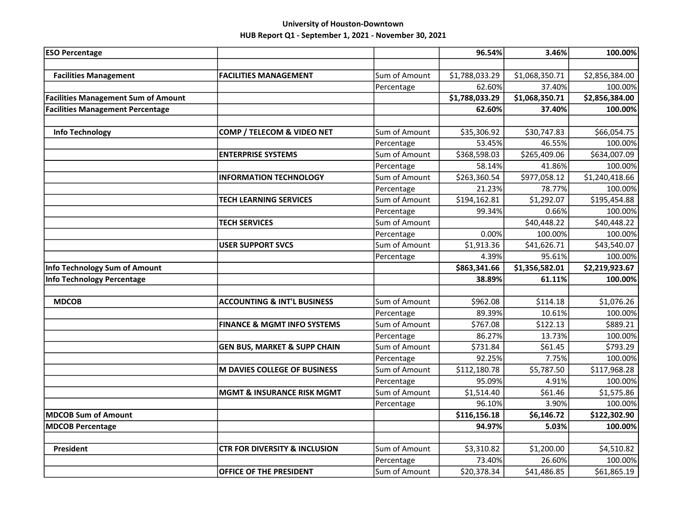| <b>ESO Percentage</b>                      |                                          |                             | 96.54%                | 3.46%                 | 100.00%                |
|--------------------------------------------|------------------------------------------|-----------------------------|-----------------------|-----------------------|------------------------|
|                                            |                                          |                             |                       |                       |                        |
| <b>Facilities Management</b>               | <b>FACILITIES MANAGEMENT</b>             | Sum of Amount               | \$1,788,033.29        | \$1,068,350.71        | \$2,856,384.00         |
|                                            |                                          | Percentage                  | 62.60%                | 37.40%                | 100.00%                |
| <b>Facilities Management Sum of Amount</b> |                                          |                             | \$1,788,033.29        | \$1,068,350.71        | \$2,856,384.00         |
| <b>Facilities Management Percentage</b>    |                                          |                             | 62.60%                | 37.40%                | 100.00%                |
|                                            |                                          |                             |                       |                       |                        |
| <b>Info Technology</b>                     | COMP / TELECOM & VIDEO NET               | Sum of Amount               | \$35,306.92           | \$30,747.83           | \$66,054.75            |
|                                            |                                          | Percentage                  | 53.45%                | 46.55%                | 100.00%                |
|                                            | <b>ENTERPRISE SYSTEMS</b>                | Sum of Amount               | \$368,598.03          | \$265,409.06          | \$634,007.09           |
|                                            |                                          | Percentage                  | 58.14%                | 41.86%                | 100.00%                |
|                                            | <b>INFORMATION TECHNOLOGY</b>            | Sum of Amount               | \$263,360.54          | \$977,058.12          | \$1,240,418.66         |
|                                            |                                          | Percentage                  | 21.23%                | 78.77%                | 100.00%                |
|                                            | <b>TECH LEARNING SERVICES</b>            | Sum of Amount               | \$194,162.81          | \$1,292.07            | \$195,454.88           |
|                                            |                                          | Percentage                  | 99.34%                | 0.66%                 | 100.00%                |
|                                            | <b>TECH SERVICES</b>                     | Sum of Amount               |                       | \$40,448.22           | \$40,448.22            |
|                                            |                                          | Percentage                  | 0.00%                 | 100.00%               | 100.00%                |
|                                            | <b>USER SUPPORT SVCS</b>                 | Sum of Amount               | \$1,913.36            | \$41,626.71           | \$43,540.07            |
|                                            |                                          | Percentage                  | 4.39%                 | 95.61%                | 100.00%                |
| <b>Info Technology Sum of Amount</b>       |                                          |                             | \$863,341.66          | \$1,356,582.01        | \$2,219,923.67         |
| <b>Info Technology Percentage</b>          |                                          |                             | 38.89%                | 61.11%                | 100.00%                |
|                                            |                                          |                             |                       |                       |                        |
| <b>MDCOB</b>                               | <b>ACCOUNTING &amp; INT'L BUSINESS</b>   | Sum of Amount               | \$962.08              | \$114.18              | \$1,076.26             |
|                                            |                                          | Percentage                  | 89.39%                | 10.61%                | 100.00%                |
|                                            | <b>FINANCE &amp; MGMT INFO SYSTEMS</b>   | Sum of Amount               | \$767.08              | \$122.13              | \$889.21               |
|                                            |                                          | Percentage                  | 86.27%                | 13.73%                | 100.00%                |
|                                            | <b>GEN BUS, MARKET &amp; SUPP CHAIN</b>  | Sum of Amount               | \$731.84              | \$61.45               | \$793.29               |
|                                            |                                          | Percentage                  | 92.25%                | 7.75%                 | 100.00%                |
|                                            | M DAVIES COLLEGE OF BUSINESS             | Sum of Amount               | \$112,180.78          | \$5,787.50            | \$117,968.28           |
|                                            |                                          | Percentage                  | 95.09%                | 4.91%                 | 100.00%                |
|                                            | <b>MGMT &amp; INSURANCE RISK MGMT</b>    | Sum of Amount               | \$1,514.40            | \$61.46               | \$1,575.86             |
|                                            |                                          | Percentage                  | 96.10%                | 3.90%                 | 100.00%                |
| <b>MDCOB Sum of Amount</b>                 |                                          |                             | \$116,156.18          | \$6,146.72            | \$122,302.90           |
| <b>MDCOB Percentage</b>                    |                                          |                             | 94.97%                | 5.03%                 | 100.00%                |
|                                            |                                          |                             |                       |                       |                        |
|                                            |                                          |                             |                       |                       |                        |
| President                                  | <b>CTR FOR DIVERSITY &amp; INCLUSION</b> | Sum of Amount               | \$3,310.82            | \$1,200.00            | \$4,510.82             |
|                                            | <b>OFFICE OF THE PRESIDENT</b>           | Percentage<br>Sum of Amount | 73.40%<br>\$20,378.34 | 26.60%<br>\$41,486.85 | 100.00%<br>\$61,865.19 |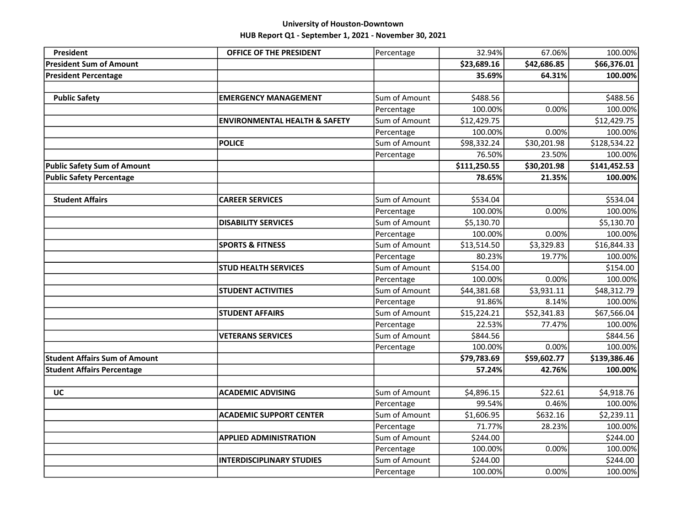| President                            | OFFICE OF THE PRESIDENT                  | Percentage    | 32.94%       | 67.06%      | 100.00%      |
|--------------------------------------|------------------------------------------|---------------|--------------|-------------|--------------|
| <b>President Sum of Amount</b>       |                                          |               | \$23,689.16  | \$42,686.85 | \$66,376.01  |
| <b>President Percentage</b>          |                                          |               | 35.69%       | 64.31%      | 100.00%      |
|                                      |                                          |               |              |             |              |
| <b>Public Safety</b>                 | <b>EMERGENCY MANAGEMENT</b>              | Sum of Amount | \$488.56     |             | \$488.56     |
|                                      |                                          | Percentage    | 100.00%      | 0.00%       | 100.00%      |
|                                      | <b>ENVIRONMENTAL HEALTH &amp; SAFETY</b> | Sum of Amount | \$12,429.75  |             | \$12,429.75  |
|                                      |                                          | Percentage    | 100.00%      | 0.00%       | 100.00%      |
|                                      | <b>POLICE</b>                            | Sum of Amount | \$98,332.24  | \$30,201.98 | \$128,534.22 |
|                                      |                                          | Percentage    | 76.50%       | 23.50%      | 100.00%      |
| <b>Public Safety Sum of Amount</b>   |                                          |               | \$111,250.55 | \$30,201.98 | \$141,452.53 |
| <b>Public Safety Percentage</b>      |                                          |               | 78.65%       | 21.35%      | 100.00%      |
|                                      |                                          |               |              |             |              |
| <b>Student Affairs</b>               | <b>CAREER SERVICES</b>                   | Sum of Amount | \$534.04     |             | \$534.04     |
|                                      |                                          | Percentage    | 100.00%      | 0.00%       | 100.00%      |
|                                      | <b>DISABILITY SERVICES</b>               | Sum of Amount | \$5,130.70   |             | \$5,130.70   |
|                                      |                                          | Percentage    | 100.00%      | 0.00%       | 100.00%      |
|                                      | <b>SPORTS &amp; FITNESS</b>              | Sum of Amount | \$13,514.50  | \$3,329.83  | \$16,844.33  |
|                                      |                                          | Percentage    | 80.23%       | 19.77%      | 100.00%      |
|                                      | <b>STUD HEALTH SERVICES</b>              | Sum of Amount | \$154.00     |             | \$154.00     |
|                                      |                                          | Percentage    | 100.00%      | 0.00%       | 100.00%      |
|                                      | <b>STUDENT ACTIVITIES</b>                | Sum of Amount | \$44,381.68  | \$3,931.11  | \$48,312.79  |
|                                      |                                          | Percentage    | 91.86%       | 8.14%       | 100.00%      |
|                                      | <b>STUDENT AFFAIRS</b>                   | Sum of Amount | \$15,224.21  | \$52,341.83 | \$67,566.04  |
|                                      |                                          | Percentage    | 22.53%       | 77.47%      | 100.00%      |
|                                      | <b>VETERANS SERVICES</b>                 | Sum of Amount | \$844.56     |             | \$844.56     |
|                                      |                                          | Percentage    | 100.00%      | 0.00%       | 100.00%      |
| <b>Student Affairs Sum of Amount</b> |                                          |               | \$79,783.69  | \$59,602.77 | \$139,386.46 |
| <b>Student Affairs Percentage</b>    |                                          |               | 57.24%       | 42.76%      | 100.00%      |
|                                      |                                          |               |              |             |              |
| UC                                   | <b>ACADEMIC ADVISING</b>                 | Sum of Amount | \$4,896.15   | \$22.61     | \$4,918.76   |
|                                      |                                          | Percentage    | 99.54%       | 0.46%       | 100.00%      |
|                                      | <b>ACADEMIC SUPPORT CENTER</b>           | Sum of Amount | \$1,606.95   | \$632.16    | \$2,239.11   |
|                                      |                                          | Percentage    | 71.77%       | 28.23%      | 100.00%      |
|                                      | <b>APPLIED ADMINISTRATION</b>            | Sum of Amount | \$244.00     |             | \$244.00     |
|                                      |                                          | Percentage    | 100.00%      | 0.00%       | 100.00%      |
|                                      | <b>INTERDISCIPLINARY STUDIES</b>         | Sum of Amount | \$244.00     |             | \$244.00     |
|                                      |                                          | Percentage    | 100.00%      | 0.00%       | 100.00%      |